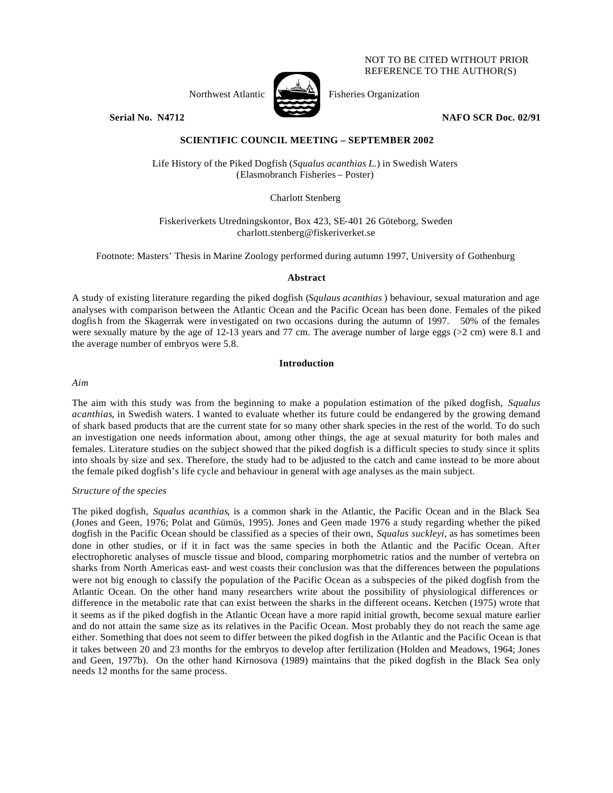## NOT TO BE CITED WITHOUT PRIOR REFERENCE TO THE AUTHOR(S)



**Serial No. 14712 NAFO SCR Doc. 02/91** 

# **SCIENTIFIC COUNCIL MEETING – SEPTEMBER 2002**

Life History of the Piked Dogfish (*Squalus acanthias L.*) in Swedish Waters (Elasmobranch Fisheries – Poster)

Charlott Stenberg

Fiskeriverkets Utredningskontor, Box 423, SE-401 26 Göteborg, Sweden charlott.stenberg@fiskeriverket.se

Footnote: Masters' Thesis in Marine Zoology performed during autumn 1997, University of Gothenburg

## **Abstract**

A study of existing literature regarding the piked dogfish (*Squlaus acanthias* ) behaviour, sexual maturation and age analyses with comparison between the Atlantic Ocean and the Pacific Ocean has been done. Females of the piked dogfis h from the Skagerrak were investigated on two occasions during the autumn of 1997. 50% of the females were sexually mature by the age of 12-13 years and 77 cm. The average number of large eggs ( $>2$  cm) were 8.1 and the average number of embryos were 5.8.

## **Introduction**

*Aim*

The aim with this study was from the beginning to make a population estimation of the piked dogfish, *Squalus acanthias*, in Swedish waters. I wanted to evaluate whether its future could be endangered by the growing demand of shark based products that are the current state for so many other shark species in the rest of the world. To do such an investigation one needs information about, among other things, the age at sexual maturity for both males and females. Literature studies on the subject showed that the piked dogfish is a difficult species to study since it splits into shoals by size and sex. Therefore, the study had to be adjusted to the catch and came instead to be more about the female piked dogfish's life cycle and behaviour in general with age analyses as the main subject.

## *Structure of the species*

The piked dogfish, *Squalus acanthias*, is a common shark in the Atlantic, the Pacific Ocean and in the Black Sea (Jones and Geen, 1976; Polat and Gümüs, 1995). Jones and Geen made 1976 a study regarding whether the piked dogfish in the Pacific Ocean should be classified as a species of their own, *Squalus suckleyi*, as has sometimes been done in other studies, or if it in fact was the same species in both the Atlantic and the Pacific Ocean. After electrophoretic analyses of muscle tissue and blood, comparing morphometric ratios and the number of vertebra on sharks from North Americas east- and west coasts their conclusion was that the differences between the populations were not big enough to classify the population of the Pacific Ocean as a subspecies of the piked dogfish from the Atlantic Ocean. On the other hand many researchers write about the possibility of physiological differences or difference in the metabolic rate that can exist between the sharks in the different oceans. Ketchen (1975) wrote that it seems as if the piked dogfish in the Atlantic Ocean have a more rapid initial growth, become sexual mature earlier and do not attain the same size as its relatives in the Pacific Ocean. Most probably they do not reach the same age either. Something that does not seem to differ between the piked dogfish in the Atlantic and the Pacific Ocean is that it takes between 20 and 23 months for the embryos to develop after fertilization (Holden and Meadows, 1964; Jones and Geen, 1977b). On the other hand Kirnosova (1989) maintains that the piked dogfish in the Black Sea only needs 12 months for the same process.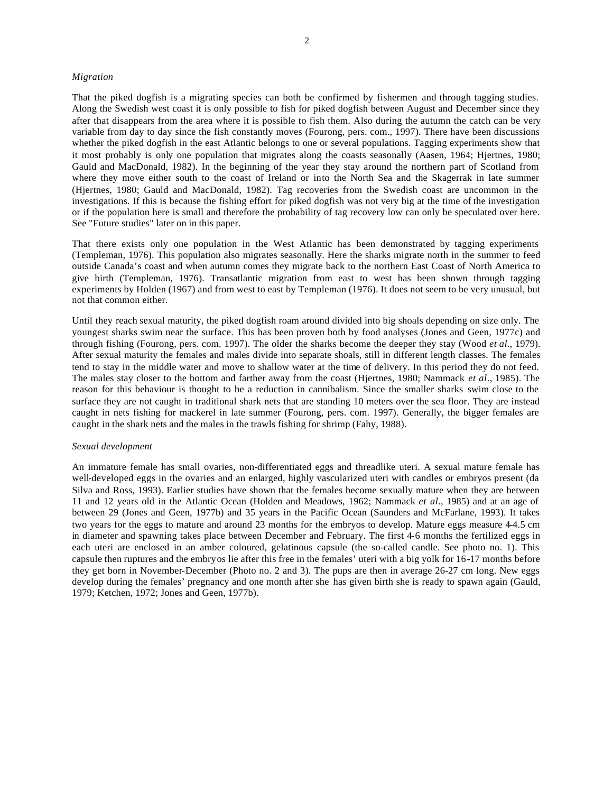#### *Migration*

That the piked dogfish is a migrating species can both be confirmed by fishermen and through tagging studies. Along the Swedish west coast it is only possible to fish for piked dogfish between August and December since they after that disappears from the area where it is possible to fish them. Also during the autumn the catch can be very variable from day to day since the fish constantly moves (Fourong, pers. com., 1997). There have been discussions whether the piked dogfish in the east Atlantic belongs to one or several populations. Tagging experiments show that it most probably is only one population that migrates along the coasts seasonally (Aasen, 1964; Hjertnes, 1980; Gauld and MacDonald, 1982). In the beginning of the year they stay around the northern part of Scotland from where they move either south to the coast of Ireland or into the North Sea and the Skagerrak in late summer (Hjertnes, 1980; Gauld and MacDonald, 1982). Tag recoveries from the Swedish coast are uncommon in the investigations. If this is because the fishing effort for piked dogfish was not very big at the time of the investigation or if the population here is small and therefore the probability of tag recovery low can only be speculated over here. See "Future studies" later on in this paper.

That there exists only one population in the West Atlantic has been demonstrated by tagging experiments (Templeman, 1976). This population also migrates seasonally. Here the sharks migrate north in the summer to feed outside Canada's coast and when autumn comes they migrate back to the northern East Coast of North America to give birth (Templeman, 1976). Transatlantic migration from east to west has been shown through tagging experiments by Holden (1967) and from west to east by Templeman (1976). It does not seem to be very unusual, but not that common either.

Until they reach sexual maturity, the piked dogfish roam around divided into big shoals depending on size only. The youngest sharks swim near the surface. This has been proven both by food analyses (Jones and Geen, 1977c) and through fishing (Fourong, pers. com. 1997). The older the sharks become the deeper they stay (Wood *et al*., 1979). After sexual maturity the females and males divide into separate shoals, still in different length classes. The females tend to stay in the middle water and move to shallow water at the time of delivery. In this period they do not feed. The males stay closer to the bottom and farther away from the coast (Hjertnes, 1980; Nammack *et al*., 1985). The reason for this behaviour is thought to be a reduction in cannibalism. Since the smaller sharks swim close to the surface they are not caught in traditional shark nets that are standing 10 meters over the sea floor. They are instead caught in nets fishing for mackerel in late summer (Fourong, pers. com. 1997). Generally, the bigger females are caught in the shark nets and the males in the trawls fishing for shrimp (Fahy, 1988).

### *Sexual development*

An immature female has small ovaries, non-differentiated eggs and threadlike uteri. A sexual mature female has well-developed eggs in the ovaries and an enlarged, highly vascularized uteri with candles or embryos present (da Silva and Ross, 1993). Earlier studies have shown that the females become sexually mature when they are between 11 and 12 years old in the Atlantic Ocean (Holden and Meadows, 1962; Nammack *et al*., 1985) and at an age of between 29 (Jones and Geen, 1977b) and 35 years in the Pacific Ocean (Saunders and McFarlane, 1993). It takes two years for the eggs to mature and around 23 months for the embryos to develop. Mature eggs measure 4-4.5 cm in diameter and spawning takes place between December and February. The first 4-6 months the fertilized eggs in each uteri are enclosed in an amber coloured, gelatinous capsule (the so-called candle. See photo no. 1). This capsule then ruptures and the embryos lie after this free in the females' uteri with a big yolk for 16-17 months before they get born in November-December (Photo no. 2 and 3). The pups are then in average 26-27 cm long. New eggs develop during the females' pregnancy and one month after she has given birth she is ready to spawn again (Gauld, 1979; Ketchen, 1972; Jones and Geen, 1977b).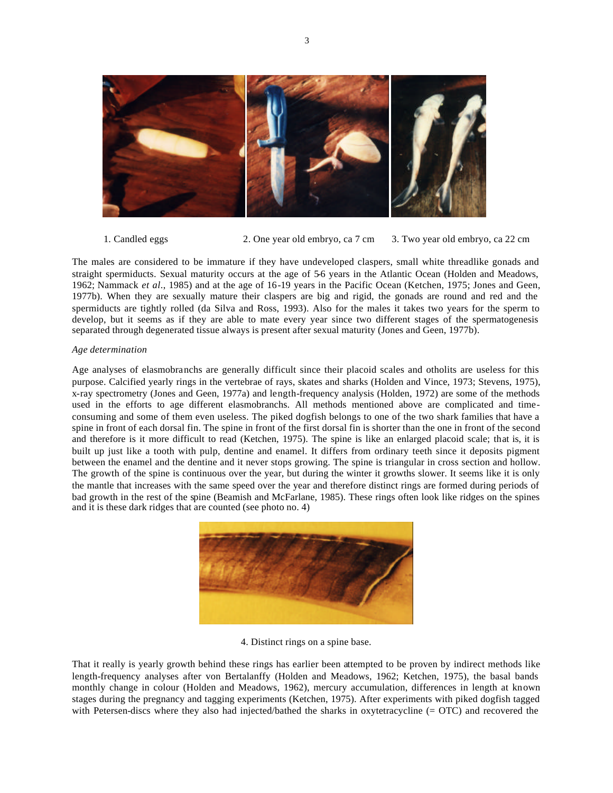

1. Candled eggs 2. One year old embryo, ca 7 cm 3. Two year old embryo, ca 22 cm

The males are considered to be immature if they have undeveloped claspers, small white threadlike gonads and straight spermiducts. Sexual maturity occurs at the age of 5-6 years in the Atlantic Ocean (Holden and Meadows, 1962; Nammack *et al*., 1985) and at the age of 16-19 years in the Pacific Ocean (Ketchen, 1975; Jones and Geen, 1977b). When they are sexually mature their claspers are big and rigid, the gonads are round and red and the spermiducts are tightly rolled (da Silva and Ross, 1993). Also for the males it takes two years for the sperm to develop, but it seems as if they are able to mate every year since two different stages of the spermatogenesis separated through degenerated tissue always is present after sexual maturity (Jones and Geen, 1977b).

## *Age determination*

Age analyses of elasmobranchs are generally difficult since their placoid scales and otholits are useless for this purpose. Calcified yearly rings in the vertebrae of rays, skates and sharks (Holden and Vince, 1973; Stevens, 1975), x-ray spectrometry (Jones and Geen, 1977a) and length-frequency analysis (Holden, 1972) are some of the methods used in the efforts to age different elasmobranchs. All methods mentioned above are complicated and timeconsuming and some of them even useless. The piked dogfish belongs to one of the two shark families that have a spine in front of each dorsal fin. The spine in front of the first dorsal fin is shorter than the one in front of the second and therefore is it more difficult to read (Ketchen, 1975). The spine is like an enlarged placoid scale; that is, it is built up just like a tooth with pulp, dentine and enamel. It differs from ordinary teeth since it deposits pigment between the enamel and the dentine and it never stops growing. The spine is triangular in cross section and hollow. The growth of the spine is continuous over the year, but during the winter it growths slower. It seems like it is only the mantle that increases with the same speed over the year and therefore distinct rings are formed during periods of bad growth in the rest of the spine (Beamish and McFarlane, 1985). These rings often look like ridges on the spines and it is these dark ridges that are counted (see photo no. 4)



4. Distinct rings on a spine base.

That it really is yearly growth behind these rings has earlier been attempted to be proven by indirect methods like length-frequency analyses after von Bertalanffy (Holden and Meadows, 1962; Ketchen, 1975), the basal bands monthly change in colour (Holden and Meadows, 1962), mercury accumulation, differences in length at known stages during the pregnancy and tagging experiments (Ketchen, 1975). After experiments with piked dogfish tagged with Petersen-discs where they also had injected/bathed the sharks in oxytetracycline (= OTC) and recovered the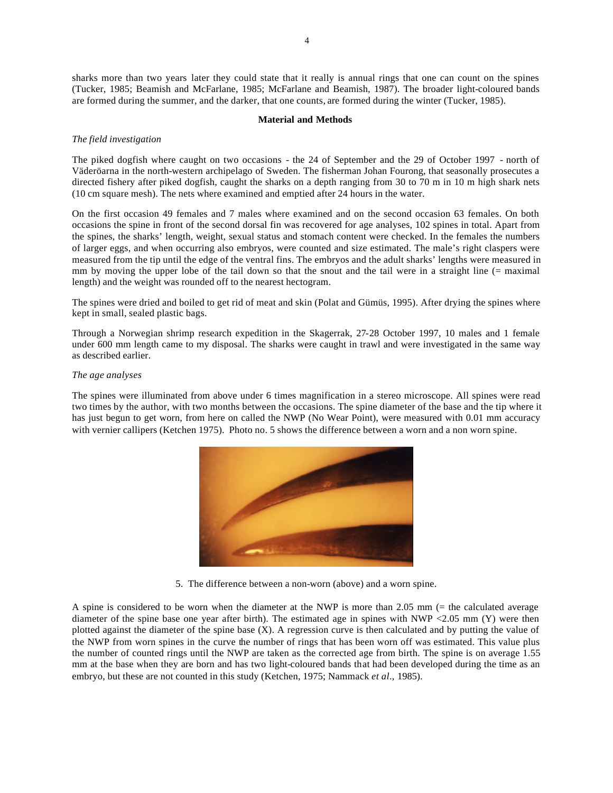sharks more than two years later they could state that it really is annual rings that one can count on the spines (Tucker, 1985; Beamish and McFarlane, 1985; McFarlane and Beamish, 1987). The broader light-coloured bands are formed during the summer, and the darker, that one counts, are formed during the winter (Tucker, 1985).

#### **Material and Methods**

#### *The field investigation*

The piked dogfish where caught on two occasions - the 24 of September and the 29 of October 1997 - north of Väderöarna in the north-western archipelago of Sweden. The fisherman Johan Fourong, that seasonally prosecutes a directed fishery after piked dogfish, caught the sharks on a depth ranging from 30 to 70 m in 10 m high shark nets (10 cm square mesh). The nets where examined and emptied after 24 hours in the water.

On the first occasion 49 females and 7 males where examined and on the second occasion 63 females. On both occasions the spine in front of the second dorsal fin was recovered for age analyses, 102 spines in total. Apart from the spines, the sharks' length, weight, sexual status and stomach content were checked. In the females the numbers of larger eggs, and when occurring also embryos, were counted and size estimated. The male's right claspers were measured from the tip until the edge of the ventral fins. The embryos and the adult sharks' lengths were measured in mm by moving the upper lobe of the tail down so that the snout and the tail were in a straight line (= maximal length) and the weight was rounded off to the nearest hectogram.

The spines were dried and boiled to get rid of meat and skin (Polat and Gümüs, 1995). After drying the spines where kept in small, sealed plastic bags.

Through a Norwegian shrimp research expedition in the Skagerrak, 27-28 October 1997, 10 males and 1 female under 600 mm length came to my disposal. The sharks were caught in trawl and were investigated in the same way as described earlier.

## *The age analyses*

The spines were illuminated from above under 6 times magnification in a stereo microscope. All spines were read two times by the author, with two months between the occasions. The spine diameter of the base and the tip where it has just begun to get worn, from here on called the NWP (No Wear Point), were measured with 0.01 mm accuracy with vernier callipers (Ketchen 1975). Photo no. 5 shows the difference between a worn and a non worn spine.



5. The difference between a non-worn (above) and a worn spine.

A spine is considered to be worn when the diameter at the NWP is more than 2.05 mm (= the calculated average diameter of the spine base one year after birth). The estimated age in spines with NWP <2.05 mm (Y) were then plotted against the diameter of the spine base (X). A regression curve is then calculated and by putting the value of the NWP from worn spines in the curve the number of rings that has been worn off was estimated. This value plus the number of counted rings until the NWP are taken as the corrected age from birth. The spine is on average 1.55 mm at the base when they are born and has two light-coloured bands that had been developed during the time as an embryo, but these are not counted in this study (Ketchen, 1975; Nammack *et al*., 1985).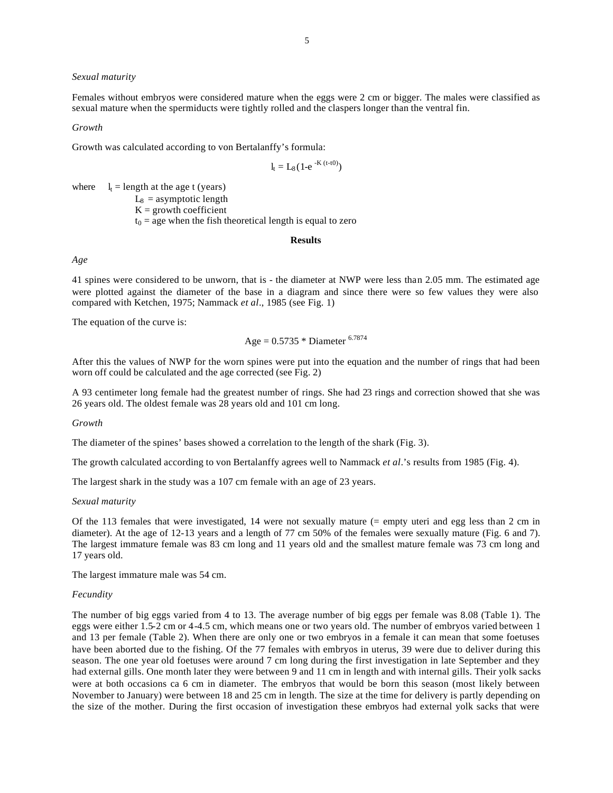#### *Sexual maturity*

Females without embryos were considered mature when the eggs were 2 cm or bigger. The males were classified as sexual mature when the spermiducts were tightly rolled and the claspers longer than the ventral fin.

#### *Growth*

Growth was calculated according to von Bertalanffy's formula:

$$
l_t = L_8 (1\text{-}e^{-K\,(t\text{-}t0)})
$$

where  $l_t =$  length at the age t (years)

 $L_8$  = asymptotic length  $K =$  growth coefficient  $t_0$  = age when the fish theoretical length is equal to zero

#### **Results**

## *Age*

41 spines were considered to be unworn, that is - the diameter at NWP were less than 2.05 mm. The estimated age were plotted against the diameter of the base in a diagram and since there were so few values they were also compared with Ketchen, 1975; Nammack *et al*., 1985 (see Fig. 1)

The equation of the curve is:

Age = 
$$
0.5735 *
$$
 Diameter <sup>6.7874</sup>

After this the values of NWP for the worn spines were put into the equation and the number of rings that had been worn off could be calculated and the age corrected (see Fig. 2)

A 93 centimeter long female had the greatest number of rings. She had 23 rings and correction showed that she was 26 years old. The oldest female was 28 years old and 101 cm long.

*Growth*

The diameter of the spines' bases showed a correlation to the length of the shark (Fig. 3).

The growth calculated according to von Bertalanffy agrees well to Nammack *et al*.'s results from 1985 (Fig. 4).

The largest shark in the study was a 107 cm female with an age of 23 years.

## *Sexual maturity*

Of the 113 females that were investigated, 14 were not sexually mature (= empty uteri and egg less than 2 cm in diameter). At the age of 12-13 years and a length of 77 cm 50% of the females were sexually mature (Fig. 6 and 7). The largest immature female was 83 cm long and 11 years old and the smallest mature female was 73 cm long and 17 years old.

The largest immature male was 54 cm.

#### *Fecundity*

The number of big eggs varied from 4 to 13. The average number of big eggs per female was 8.08 (Table 1). The eggs were either 1.5-2 cm or 4-4.5 cm, which means one or two years old. The number of embryos varied between 1 and 13 per female (Table 2). When there are only one or two embryos in a female it can mean that some foetuses have been aborted due to the fishing. Of the 77 females with embryos in uterus, 39 were due to deliver during this season. The one year old foetuses were around 7 cm long during the first investigation in late September and they had external gills. One month later they were between 9 and 11 cm in length and with internal gills. Their yolk sacks were at both occasions ca 6 cm in diameter. The embryos that would be born this season (most likely between November to January) were between 18 and 25 cm in length. The size at the time for delivery is partly depending on the size of the mother. During the first occasion of investigation these embryos had external yolk sacks that were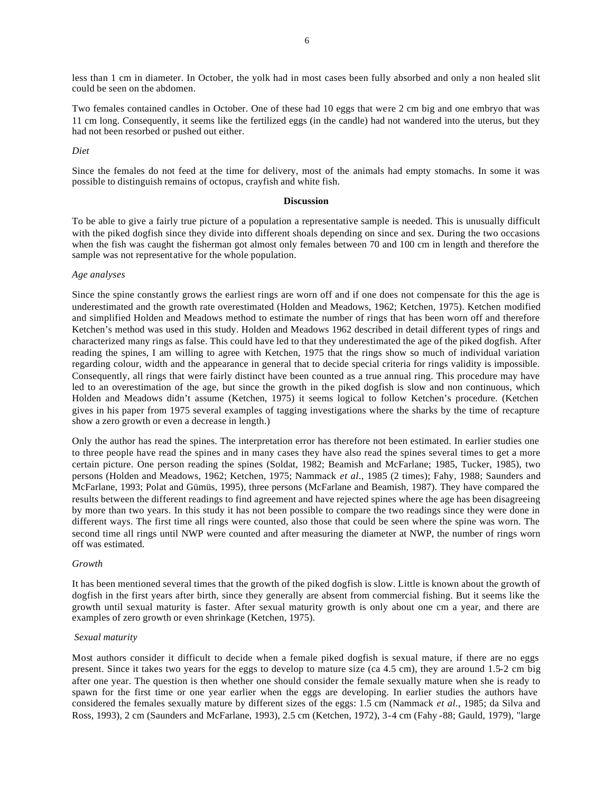less than 1 cm in diameter. In October, the yolk had in most cases been fully absorbed and only a non healed slit could be seen on the abdomen.

Two females contained candles in October. One of these had 10 eggs that were 2 cm big and one embryo that was 11 cm long. Consequently, it seems like the fertilized eggs (in the candle) had not wandered into the uterus, but they had not been resorbed or pushed out either.

#### *Diet*

Since the females do not feed at the time for delivery, most of the animals had empty stomachs. In some it was possible to distinguish remains of octopus, crayfish and white fish.

#### **Discussion**

To be able to give a fairly true picture of a population a representative sample is needed. This is unusually difficult with the piked dogfish since they divide into different shoals depending on since and sex. During the two occasions when the fish was caught the fisherman got almost only females between 70 and 100 cm in length and therefore the sample was not representative for the whole population.

#### *Age analyses*

Since the spine constantly grows the earliest rings are worn off and if one does not compensate for this the age is underestimated and the growth rate overestimated (Holden and Meadows, 1962; Ketchen, 1975). Ketchen modified and simplified Holden and Meadows method to estimate the number of rings that has been worn off and therefore Ketchen's method was used in this study. Holden and Meadows 1962 described in detail different types of rings and characterized many rings as false. This could have led to that they underestimated the age of the piked dogfish. After reading the spines, I am willing to agree with Ketchen, 1975 that the rings show so much of individual variation regarding colour, width and the appearance in general that to decide special criteria for rings validity is impossible. Consequently, all rings that were fairly distinct have been counted as a true annual ring. This procedure may have led to an overestimation of the age, but since the growth in the piked dogfish is slow and non continuous, which Holden and Meadows didn't assume (Ketchen, 1975) it seems logical to follow Ketchen's procedure. (Ketchen gives in his paper from 1975 several examples of tagging investigations where the sharks by the time of recapture show a zero growth or even a decrease in length.)

Only the author has read the spines. The interpretation error has therefore not been estimated. In earlier studies one to three people have read the spines and in many cases they have also read the spines several times to get a more certain picture. One person reading the spines (Soldat, 1982; Beamish and McFarlane; 1985, Tucker, 1985), two persons (Holden and Meadows, 1962; Ketchen, 1975; Nammack *et al*., 1985 (2 times); Fahy, 1988; Saunders and McFarlane, 1993; Polat and Gümüs, 1995), three persons (McFarlane and Beamish, 1987). They have compared the results between the different readings to find agreement and have rejected spines where the age has been disagreeing by more than two years. In this study it has not been possible to compare the two readings since they were done in different ways. The first time all rings were counted, also those that could be seen where the spine was worn. The second time all rings until NWP were counted and after measuring the diameter at NWP, the number of rings worn off was estimated.

#### *Growth*

It has been mentioned several times that the growth of the piked dogfish is slow. Little is known about the growth of dogfish in the first years after birth, since they generally are absent from commercial fishing. But it seems like the growth until sexual maturity is faster. After sexual maturity growth is only about one cm a year, and there are examples of zero growth or even shrinkage (Ketchen, 1975).

#### *Sexual maturity*

Most authors consider it difficult to decide when a female piked dogfish is sexual mature, if there are no eggs present. Since it takes two years for the eggs to develop to mature size (ca 4.5 cm), they are around 1.5-2 cm big after one year. The question is then whether one should consider the female sexually mature when she is ready to spawn for the first time or one year earlier when the eggs are developing. In earlier studies the authors have considered the females sexually mature by different sizes of the eggs: 1.5 cm (Nammack *et al*., 1985; da Silva and Ross, 1993), 2 cm (Saunders and McFarlane, 1993), 2.5 cm (Ketchen, 1972), 3-4 cm (Fahy -88; Gauld, 1979), "large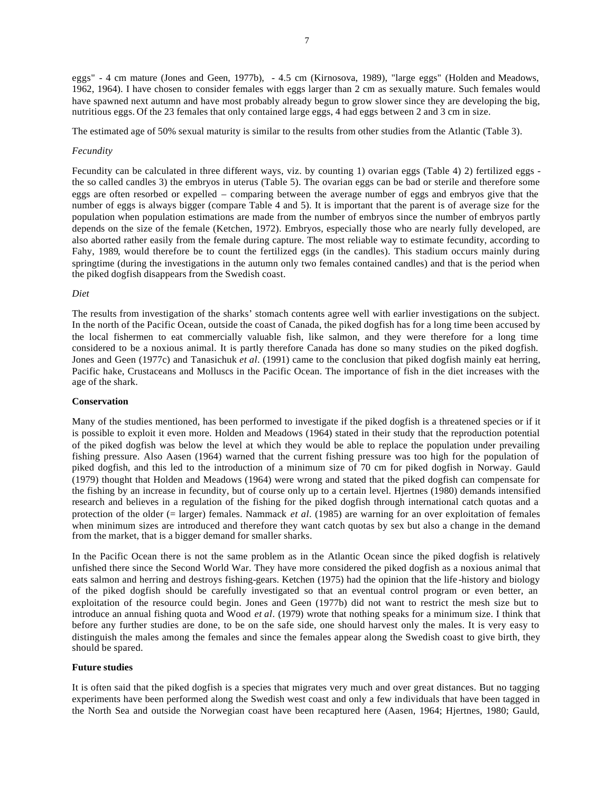eggs" - 4 cm mature (Jones and Geen, 1977b), - 4.5 cm (Kirnosova, 1989), "large eggs" (Holden and Meadows, 1962, 1964). I have chosen to consider females with eggs larger than 2 cm as sexually mature. Such females would have spawned next autumn and have most probably already begun to grow slower since they are developing the big, nutritious eggs. Of the 23 females that only contained large eggs, 4 had eggs between 2 and 3 cm in size.

The estimated age of 50% sexual maturity is similar to the results from other studies from the Atlantic (Table 3).

#### *Fecundity*

Fecundity can be calculated in three different ways, viz. by counting 1) ovarian eggs (Table 4) 2) fertilized eggs the so called candles 3) the embryos in uterus (Table 5). The ovarian eggs can be bad or sterile and therefore some eggs are often resorbed or expelled – comparing between the average number of eggs and embryos give that the number of eggs is always bigger (compare Table 4 and 5). It is important that the parent is of average size for the population when population estimations are made from the number of embryos since the number of embryos partly depends on the size of the female (Ketchen, 1972). Embryos, especially those who are nearly fully developed, are also aborted rather easily from the female during capture. The most reliable way to estimate fecundity, according to Fahy, 1989, would therefore be to count the fertilized eggs (in the candles). This stadium occurs mainly during springtime (during the investigations in the autumn only two females contained candles) and that is the period when the piked dogfish disappears from the Swedish coast.

#### *Diet*

The results from investigation of the sharks' stomach contents agree well with earlier investigations on the subject. In the north of the Pacific Ocean, outside the coast of Canada, the piked dogfish has for a long time been accused by the local fishermen to eat commercially valuable fish, like salmon, and they were therefore for a long time considered to be a noxious animal. It is partly therefore Canada has done so many studies on the piked dogfish. Jones and Geen (1977c) and Tanasichuk *et al*. (1991) came to the conclusion that piked dogfish mainly eat herring, Pacific hake, Crustaceans and Molluscs in the Pacific Ocean. The importance of fish in the diet increases with the age of the shark.

## **Conservation**

Many of the studies mentioned, has been performed to investigate if the piked dogfish is a threatened species or if it is possible to exploit it even more. Holden and Meadows (1964) stated in their study that the reproduction potential of the piked dogfish was below the level at which they would be able to replace the population under prevailing fishing pressure. Also Aasen (1964) warned that the current fishing pressure was too high for the population of piked dogfish, and this led to the introduction of a minimum size of 70 cm for piked dogfish in Norway. Gauld (1979) thought that Holden and Meadows (1964) were wrong and stated that the piked dogfish can compensate for the fishing by an increase in fecundity, but of course only up to a certain level. Hjertnes (1980) demands intensified research and believes in a regulation of the fishing for the piked dogfish through international catch quotas and a protection of the older (= larger) females. Nammack *et al*. (1985) are warning for an over exploitation of females when minimum sizes are introduced and therefore they want catch quotas by sex but also a change in the demand from the market, that is a bigger demand for smaller sharks.

In the Pacific Ocean there is not the same problem as in the Atlantic Ocean since the piked dogfish is relatively unfished there since the Second World War. They have more considered the piked dogfish as a noxious animal that eats salmon and herring and destroys fishing-gears. Ketchen (1975) had the opinion that the life -history and biology of the piked dogfish should be carefully investigated so that an eventual control program or even better, an exploitation of the resource could begin. Jones and Geen (1977b) did not want to restrict the mesh size but to introduce an annual fishing quota and Wood *et al*. (1979) wrote that nothing speaks for a minimum size. I think that before any further studies are done, to be on the safe side, one should harvest only the males. It is very easy to distinguish the males among the females and since the females appear along the Swedish coast to give birth, they should be spared.

## **Future studies**

It is often said that the piked dogfish is a species that migrates very much and over great distances. But no tagging experiments have been performed along the Swedish west coast and only a few individuals that have been tagged in the North Sea and outside the Norwegian coast have been recaptured here (Aasen, 1964; Hjertnes, 1980; Gauld,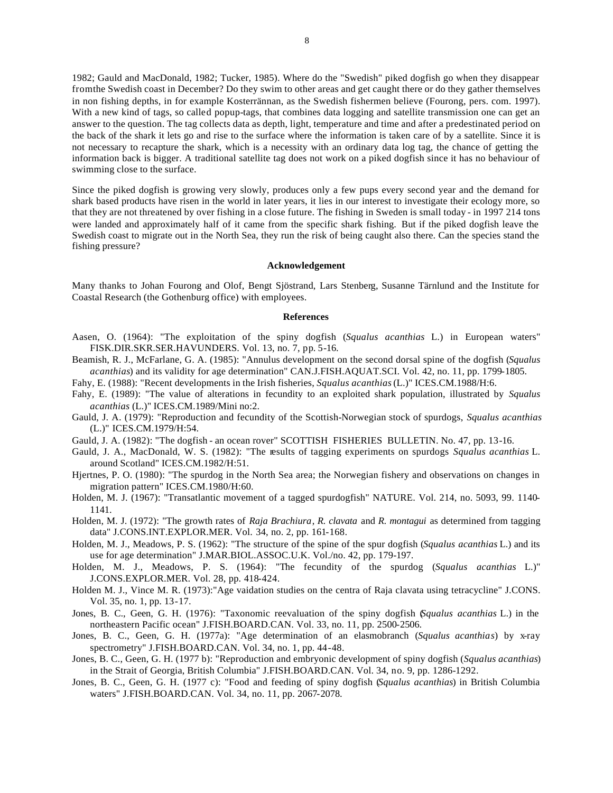1982; Gauld and MacDonald, 1982; Tucker, 1985). Where do the "Swedish" piked dogfish go when they disappear from the Swedish coast in December? Do they swim to other areas and get caught there or do they gather themselves in non fishing depths, in for example Kosterrännan, as the Swedish fishermen believe (Fourong, pers. com. 1997). With a new kind of tags, so called popup-tags, that combines data logging and satellite transmission one can get an answer to the question. The tag collects data as depth, light, temperature and time and after a predestinated period on the back of the shark it lets go and rise to the surface where the information is taken care of by a satellite. Since it is not necessary to recapture the shark, which is a necessity with an ordinary data log tag, the chance of getting the information back is bigger. A traditional satellite tag does not work on a piked dogfish since it has no behaviour of swimming close to the surface.

Since the piked dogfish is growing very slowly, produces only a few pups every second year and the demand for shark based products have risen in the world in later years, it lies in our interest to investigate their ecology more, so that they are not threatened by over fishing in a close future. The fishing in Sweden is small today - in 1997 214 tons were landed and approximately half of it came from the specific shark fishing. But if the piked dogfish leave the Swedish coast to migrate out in the North Sea, they run the risk of being caught also there. Can the species stand the fishing pressure?

#### **Acknowledgement**

Many thanks to Johan Fourong and Olof, Bengt Sjöstrand, Lars Stenberg, Susanne Tärnlund and the Institute for Coastal Research (the Gothenburg office) with employees.

#### **References**

- Aasen, O. (1964): "The exploitation of the spiny dogfish (*Squalus acanthias* L.) in European waters" FISK.DIR.SKR.SER.HAVUNDERS. Vol. 13, no. 7, pp. 5-16.
- Beamish, R. J., McFarlane, G. A. (1985): "Annulus development on the second dorsal spine of the dogfish (*Squalus acanthias*) and its validity for age determination" CAN.J.FISH.AQUAT.SCI. Vol. 42, no. 11, pp. 1799-1805.
- Fahy, E. (1988): "Recent developments in the Irish fisheries, *Squalus acanthias* (L.)" ICES.CM.1988/H:6.
- Fahy, E. (1989): "The value of alterations in fecundity to an exploited shark population, illustrated by *Squalus acanthias* (L.)" ICES.CM.1989/Mini no:2.
- Gauld, J. A. (1979): "Reproduction and fecundity of the Scottish-Norwegian stock of spurdogs, *Squalus acanthias* (L.)" ICES.CM.1979/H:54.
- Gauld, J. A. (1982): "The dogfish an ocean rover" SCOTTISH FISHERIES BULLETIN. No. 47, pp. 13-16.
- Gauld, J. A., MacDonald, W. S. (1982): "The results of tagging experiments on spurdogs *Squalus acanthias* L. around Scotland" ICES.CM.1982/H:51.
- Hjertnes, P. O. (1980): "The spurdog in the North Sea area; the Norwegian fishery and observations on changes in migration pattern" ICES.CM.1980/H:60.
- Holden, M. J. (1967): "Transatlantic movement of a tagged spurdogfish" NATURE. Vol. 214, no. 5093, 99. 1140- 1141.
- Holden, M. J. (1972): "The growth rates of *Raja Brachiura*, *R. clavata* and *R. montagui* as determined from tagging data" J.CONS.INT.EXPLOR.MER. Vol. 34, no. 2, pp. 161-168.
- Holden, M. J., Meadows, P. S. (1962): "The structure of the spine of the spur dogfish (*Squalus acanthias* L.) and its use for age determination" J.MAR.BIOL.ASSOC.U.K. Vol./no. 42, pp. 179-197.
- Holden, M. J., Meadows, P. S. (1964): "The fecundity of the spurdog (*Squalus acanthias* L.)" J.CONS.EXPLOR.MER. Vol. 28, pp. 418-424.
- Holden M. J., Vince M. R. (1973):"Age vaidation studies on the centra of Raja clavata using tetracycline" J.CONS. Vol. 35, no. 1, pp. 13-17.
- Jones, B. C., Geen, G. H. (1976): "Taxonomic reevaluation of the spiny dogfish (*Squalus acanthias* L.) in the northeastern Pacific ocean" J.FISH.BOARD.CAN. Vol. 33, no. 11, pp. 2500-2506.
- Jones, B. C., Geen, G. H. (1977a): "Age determination of an elasmobranch (*Squalus acanthias*) by x-ray spectrometry" J.FISH.BOARD.CAN. Vol. 34, no. 1, pp. 44-48.
- Jones, B. C., Geen, G. H. (1977 b): "Reproduction and embryonic development of spiny dogfish (*Squalus acanthias*) in the Strait of Georgia, British Columbia" J.FISH.BOARD.CAN. Vol. 34, no. 9, pp. 1286-1292.
- Jones, B. C., Geen, G. H. (1977 c): "Food and feeding of spiny dogfish (*Squalus acanthias*) in British Columbia waters" J.FISH.BOARD.CAN. Vol. 34, no. 11, pp. 2067-2078.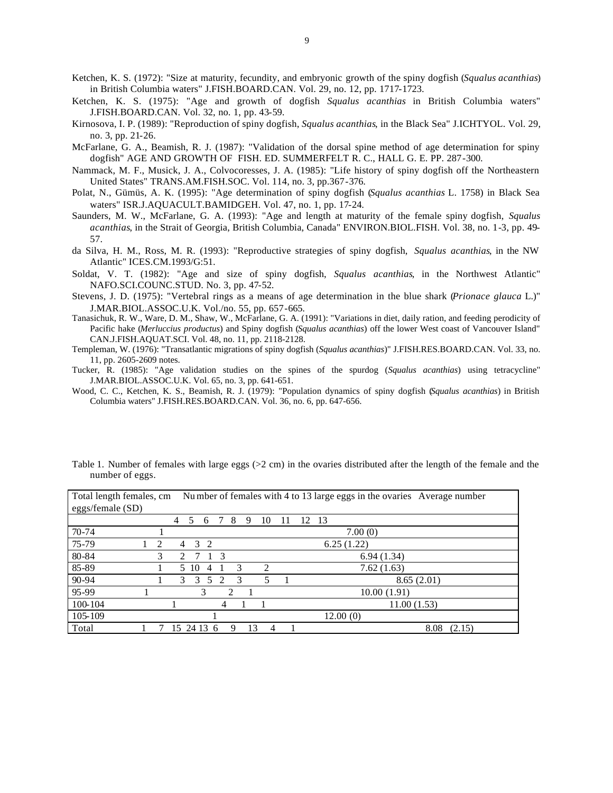- Ketchen, K. S. (1972): "Size at maturity, fecundity, and embryonic growth of the spiny dogfish (*Squalus acanthias*) in British Columbia waters" J.FISH.BOARD.CAN. Vol. 29, no. 12, pp. 1717-1723.
- Ketchen, K. S. (1975): "Age and growth of dogfish *Squalus acanthias* in British Columbia waters" J.FISH.BOARD.CAN. Vol. 32, no. 1, pp. 43-59.
- Kirnosova, I. P. (1989): "Reproduction of spiny dogfish, *Squalus acanthias*, in the Black Sea" J.ICHTYOL. Vol. 29, no. 3, pp. 21-26.
- McFarlane, G. A., Beamish, R. J. (1987): "Validation of the dorsal spine method of age determination for spiny dogfish" AGE AND GROWTH OF FISH. ED. SUMMERFELT R. C., HALL G. E. PP. 287-300.
- Nammack, M. F., Musick, J. A., Colvocoresses, J. A. (1985): "Life history of spiny dogfish off the Northeastern United States" TRANS.AM.FISH.SOC. Vol. 114, no. 3, pp.367-376.
- Polat, N., Gümüs, A. K. (1995): "Age determination of spiny dogfish (*Squalus acanthias* L. 1758) in Black Sea waters" ISR.J.AQUACULT.BAMIDGEH. Vol. 47, no. 1, pp. 17-24.
- Saunders, M. W., McFarlane, G. A. (1993): "Age and length at maturity of the female spiny dogfish, *Squalus acanthias*, in the Strait of Georgia, British Columbia, Canada" ENVIRON.BIOL.FISH. Vol. 38, no. 1-3, pp. 49- 57.
- da Silva, H. M., Ross, M. R. (1993): "Reproductive strategies of spiny dogfish, *Squalus acanthias*, in the NW Atlantic" ICES.CM.1993/G:51.
- Soldat, V. T. (1982): "Age and size of spiny dogfish, *Squalus acanthias*, in the Northwest Atlantic" NAFO.SCI.COUNC.STUD. No. 3, pp. 47-52.
- Stevens, J. D. (1975): "Vertebral rings as a means of age determination in the blue shark (*Prionace glauca* L.)" J.MAR.BIOL.ASSOC.U.K. Vol./no. 55, pp. 657-665.
- Tanasichuk, R. W., Ware, D. M., Shaw, W., McFarlane, G. A. (1991): "Variations in diet, daily ration, and feeding perodicity of Pacific hake (*Merluccius productus*) and Spiny dogfish (*Squalus acanthias*) off the lower West coast of Vancouver Island" CAN.J.FISH.AQUAT.SCI. Vol. 48, no. 11, pp. 2118-2128.
- Templeman, W. (1976): "Transatlantic migrations of spiny dogfish (*Squalus acanthias*)" J.FISH.RES.BOARD.CAN. Vol. 33, no. 11, pp. 2605-2609 notes.
- Tucker, R. (1985): "Age validation studies on the spines of the spurdog (*Squalus acanthias*) using tetracycline" J.MAR.BIOL.ASSOC.U.K. Vol. 65, no. 3, pp. 641-651.
- Wood, C. C., Ketchen, K. S., Beamish, R. J. (1979): "Population dynamics of spiny dogfish (*Squalus acanthias*) in British Columbia waters" J.FISH.RES.BOARD.CAN. Vol. 36, no. 6, pp. 647-656.

| eggs/female (SD) |                |                |             |                |        |         |    |    | $\check{\,}$   |
|------------------|----------------|----------------|-------------|----------------|--------|---------|----|----|----------------|
|                  |                | $\overline{4}$ | 5<br>6      | $\overline{7}$ | 8<br>9 | 10      | 11 | 12 | -13            |
| $70 - 74$        |                |                |             |                |        |         |    |    | 7.00(0)        |
| 75-79            | $\overline{c}$ |                | 3<br>2<br>4 |                |        |         |    |    | 6.25(1.22)     |
| 80-84            | 3              | $\mathfrak{D}$ | 7           | $\mathcal{R}$  |        |         |    |    | 6.94(1.34)     |
| 85-89            |                |                | 5 10<br>4   |                | 3      | 2       |    |    | 7.62(1.63)     |
| 90-94            |                |                | 3<br>3      | 5 2            | 3      | 5       |    |    | 8.65(2.01)     |
| 95-99            |                |                | 3           |                | 2      |         |    |    | 10.00(1.91)    |
| 100-104          |                |                |             | 4              |        |         |    |    | 11.00(1.53)    |
| 105-109          |                |                |             |                |        |         |    |    | 12.00(0)       |
| Total            |                | 15             | 24 13 6     |                | 9      | 13<br>4 |    |    | 8.08<br>(2.15) |

Total length females, cm Nu mber of females with 4 to 13 large eggs in the ovaries Average number

Table 1. Number of females with large eggs  $(2 \text{ cm})$  in the ovaries distributed after the length of the female and the number of eggs.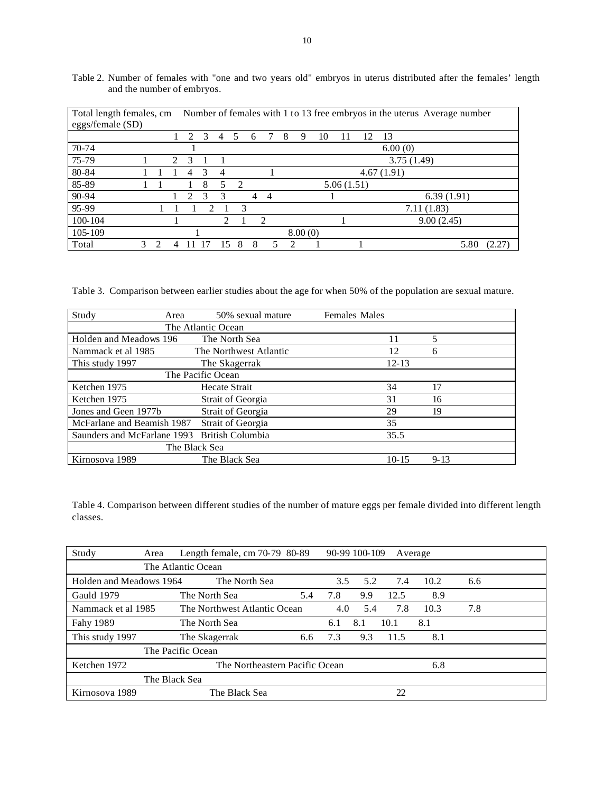| Total length females, cm |   |  |   | Number of females with 1 to 13 free embryos in the uterus Average number |               |    |    |   |               |   |         |    |            |    |                |  |
|--------------------------|---|--|---|--------------------------------------------------------------------------|---------------|----|----|---|---------------|---|---------|----|------------|----|----------------|--|
| eggs/female (SD)         |   |  |   |                                                                          |               |    |    |   |               |   |         |    |            |    |                |  |
|                          |   |  |   | $\mathcal{L}$                                                            | $\mathcal{R}$ | 4  | -5 | 6 |               | 8 | 9       | 10 |            | 12 | 13             |  |
| $70 - 74$                |   |  |   |                                                                          |               |    |    |   |               |   |         |    |            |    | 6.00(0)        |  |
| 75-79                    |   |  | 2 | 3                                                                        |               |    |    |   |               |   |         |    |            |    | 3.75(1.49)     |  |
| 80-84                    |   |  |   | 4                                                                        | $\mathcal{R}$ | 4  |    |   |               |   |         |    |            |    | 4.67(1.91)     |  |
| 85-89                    |   |  |   |                                                                          | 8             | 5  | 2  |   |               |   |         |    | 5.06(1.51) |    |                |  |
| 90-94                    |   |  |   | $\mathcal{D}_{\mathcal{A}}$                                              | 3             | 3  |    | 4 | 4             |   |         |    |            |    | 6.39(1.91)     |  |
| 95-99                    |   |  |   |                                                                          | C             |    | 3  |   |               |   |         |    |            |    | 7.11(1.83)     |  |
| 100-104                  |   |  |   |                                                                          |               | 2  |    |   | $\mathcal{D}$ |   |         |    |            |    | 9.00(2.45)     |  |
| 105-109                  |   |  |   |                                                                          |               |    |    |   |               |   | 8.00(0) |    |            |    |                |  |
| Total                    | 3 |  |   |                                                                          |               | ۱۲ | 8  | 8 | 5             | 2 |         |    |            |    | 5.80<br>(2.27) |  |

Table 2. Number of females with "one and two years old" embryos in uterus distributed after the females' length and the number of embryos.

Table 3. Comparison between earlier studies about the age for when 50% of the population are sexual mature.

| Study<br>Area               | 50% sexual mature       | <b>Females Males</b> |          |
|-----------------------------|-------------------------|----------------------|----------|
|                             | The Atlantic Ocean      |                      |          |
| Holden and Meadows 196      | The North Sea           | 11                   | 5        |
| Nammack et al 1985          | The Northwest Atlantic  | 12                   | 6        |
| This study 1997             | The Skagerrak           | $12 - 13$            |          |
|                             | The Pacific Ocean       |                      |          |
| Ketchen 1975                | Hecate Strait           | 34                   | 17       |
| Ketchen 1975                | Strait of Georgia       | 31                   | 16       |
| Jones and Geen 1977b        | Strait of Georgia       | 29                   | 19       |
| McFarlane and Beamish 1987  | Strait of Georgia       | 35                   |          |
| Saunders and McFarlane 1993 | <b>British Columbia</b> | 35.5                 |          |
| The Black Sea               |                         |                      |          |
| Kirnosova 1989              | The Black Sea           | $10 - 15$            | $9 - 13$ |

Table 4. Comparison between different studies of the number of mature eggs per female divided into different length classes.

| Study                   | Area | Length female, $cm$ 70-79 80-89 |                                |     |     | 90-99 100-109 |      | Average |     |  |
|-------------------------|------|---------------------------------|--------------------------------|-----|-----|---------------|------|---------|-----|--|
|                         |      | The Atlantic Ocean              |                                |     |     |               |      |         |     |  |
| Holden and Meadows 1964 |      |                                 | The North Sea                  |     | 3.5 | 5.2           | 7.4  | 10.2    | 6.6 |  |
| Gauld 1979              |      | The North Sea                   |                                | 5.4 | 7.8 | 9.9           | 12.5 | 8.9     |     |  |
| Nammack et al 1985      |      | The Northwest Atlantic Ocean    |                                |     | 4.0 | 5.4           | 7.8  | 10.3    | 7.8 |  |
| Fahy 1989               |      | The North Sea                   |                                |     | 6.1 | 8.1           | 10.1 | 8.1     |     |  |
| This study 1997         |      | The Skagerrak                   |                                | 6.6 | 7.3 | 9.3           | 11.5 | 8.1     |     |  |
| The Pacific Ocean       |      |                                 |                                |     |     |               |      |         |     |  |
| Ketchen 1972            |      |                                 | The Northeastern Pacific Ocean |     |     |               |      | 6.8     |     |  |
|                         |      | The Black Sea                   |                                |     |     |               |      |         |     |  |
| Kirnosova 1989          |      | The Black Sea                   |                                |     |     |               | 22   |         |     |  |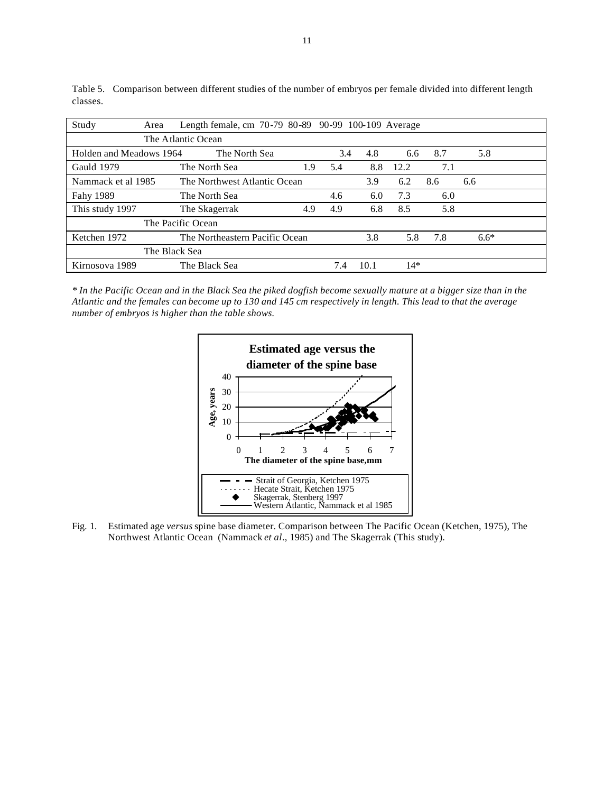| Study                   | Area          | Length female, cm 70-79 80-89 90-99 100-109 Average |     |     |            |       |     |        |  |  |  |  |
|-------------------------|---------------|-----------------------------------------------------|-----|-----|------------|-------|-----|--------|--|--|--|--|
| The Atlantic Ocean      |               |                                                     |     |     |            |       |     |        |  |  |  |  |
| Holden and Meadows 1964 |               | The North Sea                                       |     |     | 3.4<br>4.8 | 6.6   | 8.7 | 5.8    |  |  |  |  |
| Gauld 1979              |               | The North Sea                                       | 1.9 | 5.4 | 8.8        | 12.2  | 7.1 |        |  |  |  |  |
| Nammack et al 1985      |               | The Northwest Atlantic Ocean                        |     |     | 3.9        | 6.2   | 8.6 | 6.6    |  |  |  |  |
| Fahy 1989               |               | The North Sea                                       |     | 4.6 | 6.0        | 7.3   | 6.0 |        |  |  |  |  |
| This study 1997         |               | The Skagerrak                                       | 4.9 | 4.9 | 6.8        | 8.5   | 5.8 |        |  |  |  |  |
| The Pacific Ocean       |               |                                                     |     |     |            |       |     |        |  |  |  |  |
| Ketchen 1972            |               | The Northeastern Pacific Ocean                      |     |     | 3.8        | 5.8   | 7.8 | $6.6*$ |  |  |  |  |
|                         | The Black Sea |                                                     |     |     |            |       |     |        |  |  |  |  |
| Kirnosova 1989          |               | The Black Sea                                       |     | 7.4 | 10.1       | $14*$ |     |        |  |  |  |  |

Table 5. Comparison between different studies of the number of embryos per female divided into different length classes.

*\* In the Pacific Ocean and in the Black Sea the piked dogfish become sexually mature at a bigger size than in the Atlantic and the females can become up to 130 and 145 cm respectively in length. This lead to that the average number of embryos is higher than the table shows.*

![](_page_10_Figure_3.jpeg)

Fig. 1. Estimated age *versus* spine base diameter. Comparison between The Pacific Ocean (Ketchen, 1975), The Northwest Atlantic Ocean (Nammack *et al*., 1985) and The Skagerrak (This study).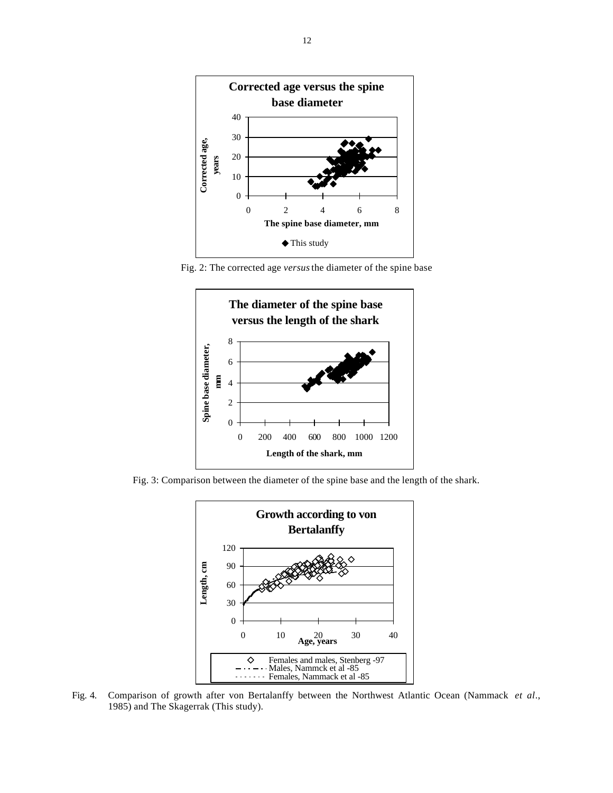![](_page_11_Figure_0.jpeg)

Fig. 2: The corrected age *versus* the diameter of the spine base

![](_page_11_Figure_2.jpeg)

Fig. 3: Comparison between the diameter of the spine base and the length of the shark.

![](_page_11_Figure_4.jpeg)

Fig. 4. Comparison of growth after von Bertalanffy between the Northwest Atlantic Ocean (Nammack *et al*., 1985) and The Skagerrak (This study).